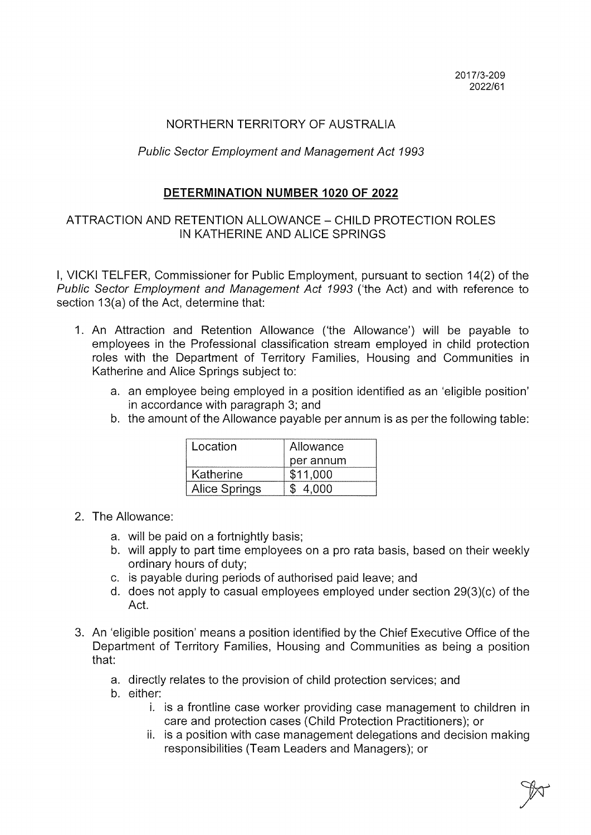## NORTHERN TERRITORY OF AUSTRALIA

## Public Sector Employment and Management Act 7993

## DETERMINATION NUMBER 1020 OF 2022

## ATTRACTION AND RETENTION ALLOWANCE - CHILD PROTECTION ROLES IN KATHERINE AND ALICE SPRINGS

I, VICKI TELFER, Commissioner for Public Employment, pursuant to section 14(2) of the Public Sector Employment and Management Act 1993 ('the Act) and with reference to section 13(a) of the Act, determine that:

- I. An Attraction and Retention Allowance ('the Allowance') will be payable to employees in the Professional classification stream employed in child protection roles with the Department of Territory Families, Housing and Communities in Katherine and Alice Springs subject to:
	- a. an employee being employed in a position identified as an 'eligible position' in accordance with paragraph 3; and
	- b. the amount of the Allowance payable per annum is as per the following table:

| Location      | Allowance |
|---------------|-----------|
|               | per annum |
| Katherine     | \$11.000  |
| Alice Springs | \$4.000   |

- 2. The Allowance:
	- a. will be paid on a fortnightly basis;
	- b. will apply to part time employees on a pro rata basis, based on their weekly ordinary hours of duty;
	- c. is payable during periods of authorised paid leave; and
	- d. does not apply to casual employees employed under section 29(3)(c) of the Act.
- 3. An 'eligible position' means a position identified by the Chief Executive Office of the Department of Territory Families, Housing and Communities as being a position that:
	- a. directly relates to the provision of child protection services; and
	- b. either:
		- i. is a frontline case worker providing case management to children in care and protection cases (Child Protection Practitioners); or
		- ii. is a position with case management delegations and decision making responsibilities (Team Leaders and Managers); or

 $\mathbb{Z}^{\mathbb{Z}}$